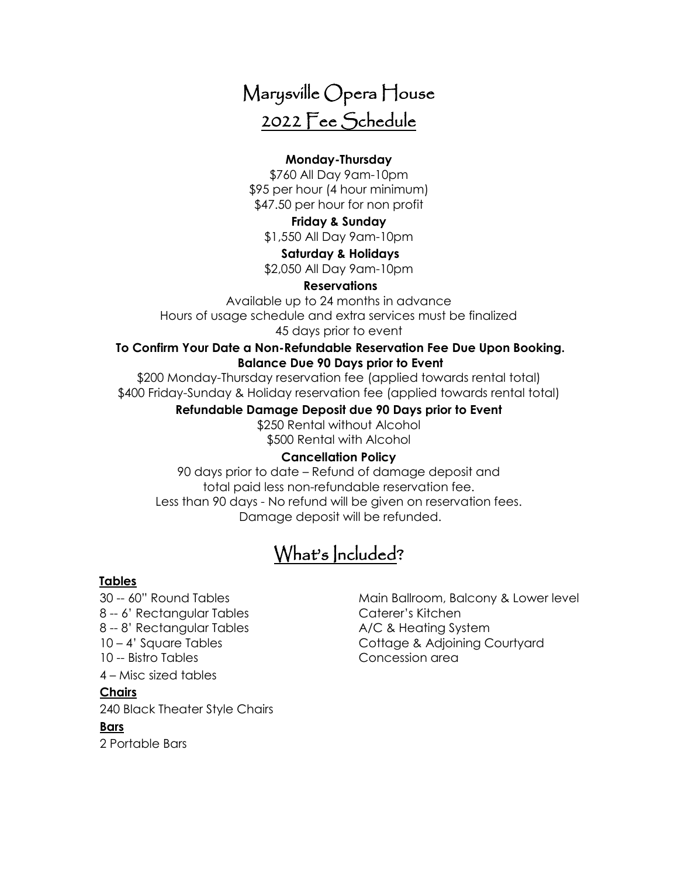# Marysville Opera House 2022 Fee Schedule

## **Monday-Thursday**

\$760 All Day 9am-10pm \$95 per hour (4 hour minimum) \$47.50 per hour for non profit

### **Friday & Sunday**

\$1,550 All Day 9am-10pm

#### **Saturday & Holidays**

\$2,050 All Day 9am-10pm

#### **Reservations**

Available up to 24 months in advance Hours of usage schedule and extra services must be finalized 45 days prior to event

#### **To Confirm Your Date a Non-Refundable Reservation Fee Due Upon Booking. Balance Due 90 Days prior to Event**

\$200 Monday-Thursday reservation fee (applied towards rental total) \$400 Friday-Sunday & Holiday reservation fee (applied towards rental total)

#### **Refundable Damage Deposit due 90 Days prior to Event**

\$250 Rental without Alcohol \$500 Rental with Alcohol

### **Cancellation Policy**

90 days prior to date – Refund of damage deposit and total paid less non-refundable reservation fee. Less than 90 days - No refund will be given on reservation fees. Damage deposit will be refunded.

# What's Included?

### **Tables**

8 -- 6' Rectangular Tables Caterer's Kitchen 8 -- 8' Rectangular Tables A/C & Heating System 10 -- Bistro Tables Concession area 4 – Misc sized tables

# **Chairs**

240 Black Theater Style Chairs

# **Bars**

2 Portable Bars

30 -- 60" Round Tables Main Ballroom, Balcony & Lower level 10 – 4' Square Tables Cottage & Adjoining Courtyard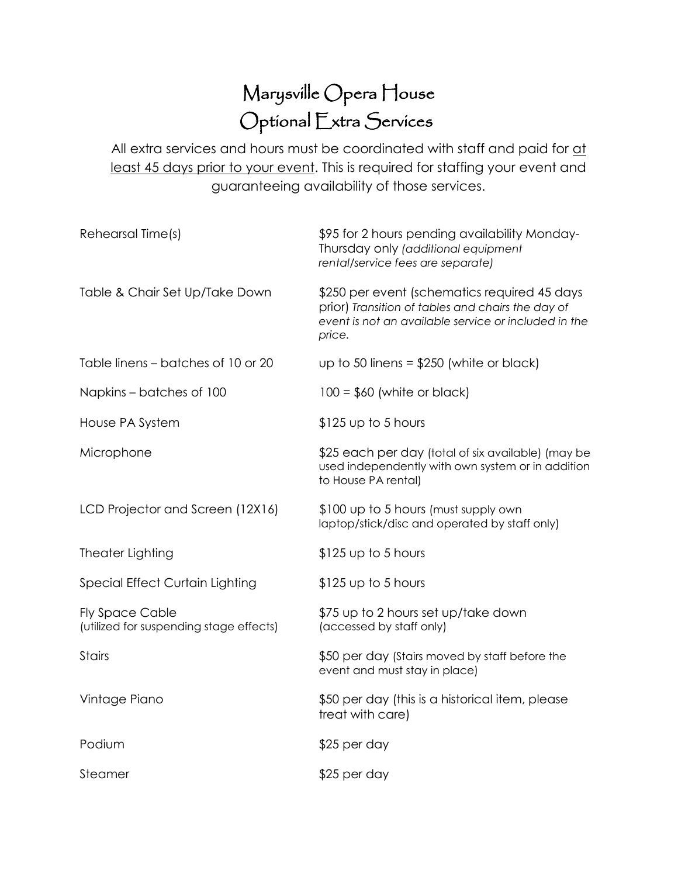# Marysville Opera House Optional Extra Services

All extra services and hours must be coordinated with staff and paid for at least 45 days prior to your event. This is required for staffing your event and guaranteeing availability of those services.

| Rehearsal Time(s)                                                 | \$95 for 2 hours pending availability Monday-<br>Thursday only (additional equipment<br>rental/service fees are separate)                                           |
|-------------------------------------------------------------------|---------------------------------------------------------------------------------------------------------------------------------------------------------------------|
| Table & Chair Set Up/Take Down                                    | \$250 per event (schematics required 45 days<br>prior) Transition of tables and chairs the day of<br>event is not an available service or included in the<br>price. |
| Table linens – batches of 10 or 20                                | up to 50 linens = $$250$ (white or black)                                                                                                                           |
| Napkins – batches of 100                                          | $100 = $60$ (white or black)                                                                                                                                        |
| House PA System                                                   | \$125 up to 5 hours                                                                                                                                                 |
| Microphone                                                        | \$25 each per day (total of six available) (may be<br>used independently with own system or in addition<br>to House PA rental)                                      |
| LCD Projector and Screen (12X16)                                  | \$100 up to 5 hours (must supply own<br>laptop/stick/disc and operated by staff only)                                                                               |
| <b>Theater Lighting</b>                                           | \$125 up to 5 hours                                                                                                                                                 |
| Special Effect Curtain Lighting                                   | $$125$ up to 5 hours                                                                                                                                                |
| <b>Fly Space Cable</b><br>(utilized for suspending stage effects) | \$75 up to 2 hours set up/take down<br>(accessed by staff only)                                                                                                     |
| <b>Stairs</b>                                                     | \$50 per day (Stairs moved by staff before the<br>event and must stay in place)                                                                                     |
| Vintage Piano                                                     | \$50 per day (this is a historical item, please<br>treat with care)                                                                                                 |
| Podium                                                            | \$25 per day                                                                                                                                                        |
| Steamer                                                           | \$25 per day                                                                                                                                                        |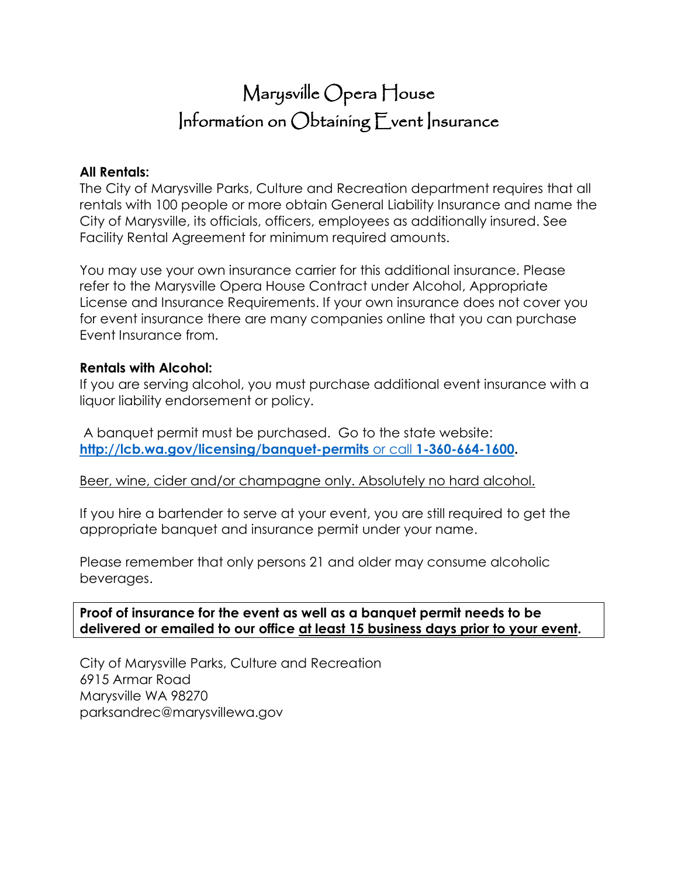# Marysville Opera House Information on Obtaining Event Insurance

# **All Rentals:**

The City of Marysville Parks, Culture and Recreation department requires that all rentals with 100 people or more obtain General Liability Insurance and name the City of Marysville, its officials, officers, employees as additionally insured. See Facility Rental Agreement for minimum required amounts.

You may use your own insurance carrier for this additional insurance. Please refer to the Marysville Opera House Contract under Alcohol, Appropriate License and Insurance Requirements. If your own insurance does not cover you for event insurance there are many companies online that you can purchase Event Insurance from.

# **Rentals with Alcohol:**

If you are serving alcohol, you must purchase additional event insurance with a liquor liability endorsement or policy.

A banquet permit must be purchased. Go to the state website: **[http://lcb.wa.gov/licensing/banquet-permits](http://lcb.wa.gov/licensing/banquet-permits%20or%20call%201-360-664-1600)** or call **1-360-664-1600.** 

Beer, wine, cider and/or champagne only. Absolutely no hard alcohol.

If you hire a bartender to serve at your event, you are still required to get the appropriate banquet and insurance permit under your name.

Please remember that only persons 21 and older may consume alcoholic beverages.

# **Proof of insurance for the event as well as a banquet permit needs to be delivered or emailed to our office at least 15 business days prior to your event.**

City of Marysville Parks, Culture and Recreation 6915 Armar Road Marysville WA 98270 parksandrec@marysvillewa.gov Ī